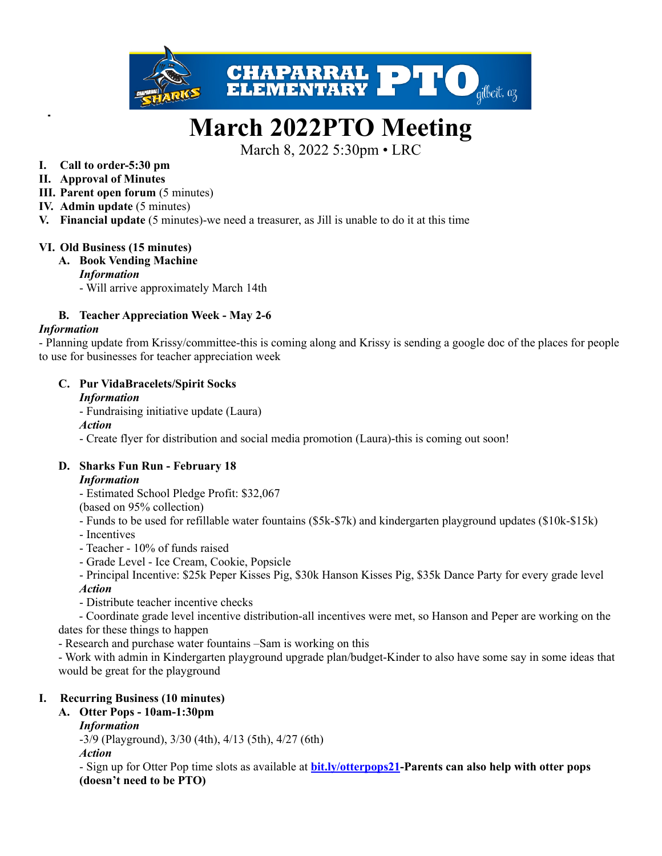

# **March 2022PTO Meeting**

March 8, 2022 5:30pm • LRC

#### **I. Call to order-5:30 pm**

- **II. Approval of Minutes**
- **III. Parent open forum** (5 minutes)
- **IV. Admin update** (5 minutes)
- **V. Financial update** (5 minutes)-we need a treasurer, as Jill is unable to do it at this time

#### **VI. Old Business (15 minutes)**

# **A. Book Vending Machine**

*Information*

- Will arrive approximately March 14th

# **B. Teacher Appreciation Week - May 2-6**

#### *Information*

- Planning update from Krissy/committee-this is coming along and Krissy is sending a google doc of the places for people to use for businesses for teacher appreciation week

#### **C. Pur VidaBracelets/Spirit Socks**

#### *Information*

- Fundraising initiative update (Laura)

*Action*

- Create flyer for distribution and social media promotion (Laura)-this is coming out soon!

# **D. Sharks Fun Run - February 18**

#### *Information*

- Estimated School Pledge Profit: \$32,067

(based on 95% collection)

- Funds to be used for refillable water fountains (\$5k-\$7k) and kindergarten playground updates (\$10k-\$15k)

- Incentives
- Teacher 10% of funds raised
- Grade Level Ice Cream, Cookie, Popsicle
- Principal Incentive: \$25k Peper Kisses Pig, \$30k Hanson Kisses Pig, \$35k Dance Party for every grade level *Action*
- Distribute teacher incentive checks

- Coordinate grade level incentive distribution-all incentives were met, so Hanson and Peper are working on the dates for these things to happen

- Research and purchase water fountains –Sam is working on this

- Work with admin in Kindergarten playground upgrade plan/budget-Kinder to also have some say in some ideas that would be great for the playground

# **I. Recurring Business (10 minutes)**

**A. Otter Pops - 10am-1:30pm**

# *Information*

-3/9 (Playground), 3/30 (4th), 4/13 (5th), 4/27 (6th)

*Action*

- Sign up for Otter Pop time slots as available at **[bit.ly/otterpops21](http://bit.ly/otterpops21)-Parents can also help with otter pops (doesn't need to be PTO)**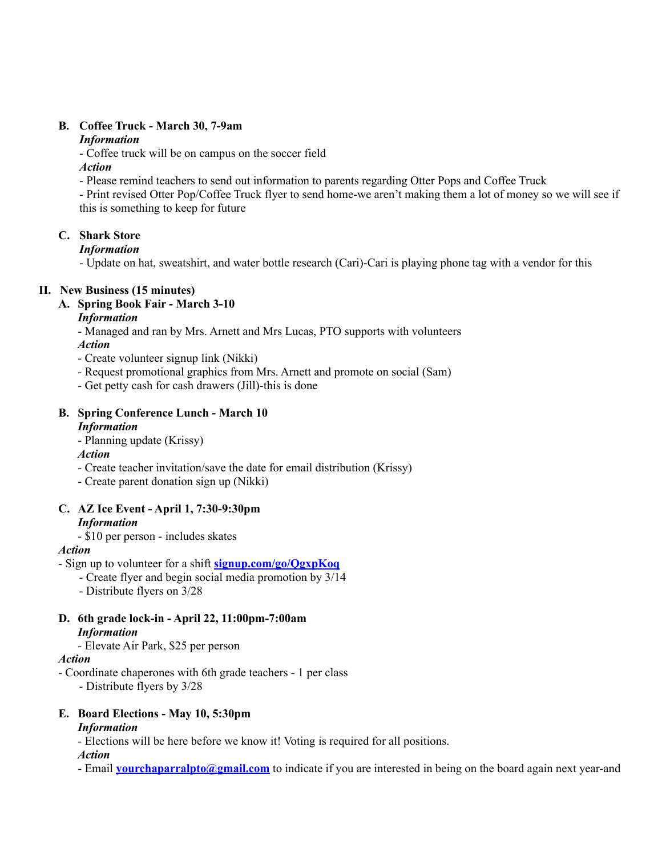#### **B. Coffee Truck - March 30, 7-9am**

#### *Information*

- Coffee truck will be on campus on the soccer field

#### *Action*

- Please remind teachers to send out information to parents regarding Otter Pops and Coffee Truck

- Print revised Otter Pop/Coffee Truck flyer to send home-we aren't making them a lot of money so we will see if this is something to keep for future

# **C. Shark Store**

# *Information*

- Update on hat, sweatshirt, and water bottle research (Cari)-Cari is playing phone tag with a vendor for this

# **II. New Business (15 minutes)**

**A. Spring Book Fair - March 3-10**

# *Information*

- Managed and ran by Mrs. Arnett and Mrs Lucas, PTO supports with volunteers *Action*

- 
- Create volunteer signup link (Nikki)
- Request promotional graphics from Mrs. Arnett and promote on social (Sam)
- Get petty cash for cash drawers (Jill)-this is done

# **B. Spring Conference Lunch - March 10**

# *Information*

- Planning update (Krissy)

#### *Action*

- Create teacher invitation/save the date for email distribution (Krissy)
- Create parent donation sign up (Nikki)

#### **C. AZ Ice Event - April 1, 7:30-9:30pm** *Information*

- \$10 per person - includes skates

# *Action*

- Sign up to volunteer for a shift **[signup.com/go/QgxpKoq](http://signup.com/go/QgxpKoq)**
	- Create flyer and begin social media promotion by 3/14
	- Distribute flyers on 3/28

# **D. 6th grade lock-in - April 22, 11:00pm-7:00am** *Information*

- Elevate Air Park, \$25 per person

#### *Action*

- Coordinate chaperones with 6th grade teachers - 1 per class

- Distribute flyers by 3/28

# **E. Board Elections - May 10, 5:30pm**

# *Information*

*-* Elections will be here before we know it! Voting is required for all positions.

*Action*

- Email **[yourchaparralpto@gmail.com](mailto:yourchaparralpto@gmail.com)** to indicate if you are interested in being on the board again next year-and